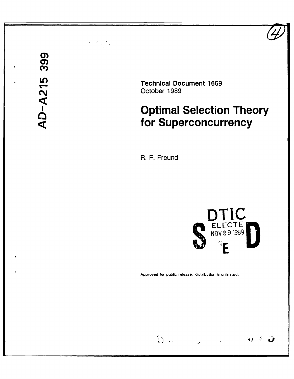# *C)* ECRIPT Technical Document 1669<br>
October 1989<br>
Optimal Selectio<br> **CONFING TO SUPERCONCUP**

(N,,October **1989**

# **Optimal Selection Theory for Superconcurrency**

R. F. Freund



Approved for public release: distribution Is unlimited.

 $\begin{picture}(20,20) \put(0,0){\vector(1,0){30}} \put(15,0){\vector(1,0){30}} \put(15,0){\vector(1,0){30}} \put(15,0){\vector(1,0){30}} \put(15,0){\vector(1,0){30}} \put(15,0){\vector(1,0){30}} \put(15,0){\vector(1,0){30}} \put(15,0){\vector(1,0){30}} \put(15,0){\vector(1,0){30}} \put(15,0){\vector(1,0){30}} \put(15,0){\vector(1,0){30}} \put(15,0){\vector(1$  $V = \mathcal{D}$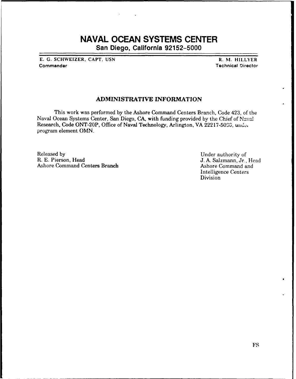# **NAVAL OCEAN SYSTEMS CENTER**

San Diego, California **92152-5000**

**E. G. SCHWEIZER, CAPT, USN R. NI. HILLYER** Commander Technical Director

# ADMINISTRATIVE **INFORMATION**

This work was performed **by** the Ashore Command Centers Branch, Code 423, of the Naval Ocean Systems Center, San Diego, **CA,** with funding provided by the Chief of Naval Research, Code ONT-20P, Office of Naval Technology, Arlington, VA 22217-5000, under program element OMN.

Released by **Example 2018** Under authority of **R. E. Pierson, Head** J. A. Salzmann, Jr. Ashore Command Centers Branch

J. A. Salzmann, Jr., Head<br>Ashore Command and Intelligence Centers **Division**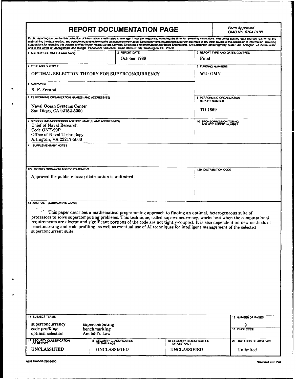|                                                                                                                                                                                               | <b>REPORT DOCUMENTATION PAGE</b>           |                                                                                                                                                                                                                                                                                                                                                                                                                                                                                            | Form Approved<br>OMB No. 0704-0188                                                                                                                                                                                                                                                                                                                                                                                                                                                                                                                                                                                  |  |
|-----------------------------------------------------------------------------------------------------------------------------------------------------------------------------------------------|--------------------------------------------|--------------------------------------------------------------------------------------------------------------------------------------------------------------------------------------------------------------------------------------------------------------------------------------------------------------------------------------------------------------------------------------------------------------------------------------------------------------------------------------------|---------------------------------------------------------------------------------------------------------------------------------------------------------------------------------------------------------------------------------------------------------------------------------------------------------------------------------------------------------------------------------------------------------------------------------------------------------------------------------------------------------------------------------------------------------------------------------------------------------------------|--|
| and to the Office of Management and Budget, Paperwork Reduction Project (0704-0188), Washington, DC 20503                                                                                     |                                            |                                                                                                                                                                                                                                                                                                                                                                                                                                                                                            | Public reporting burden for this collection of information is estimated to average 1 nour per response, including the time for reviewing instructions, searching existing data sources, gathering and<br>maintaining the data needed, and completing and reviewing the collection of information. Send comments regarding this burden estimate or any other asued of this collection of information, including<br>suggestions for reducing this burden, to Washington Headquarters Services, Directorate for Information Operations and Reports, 1215 Jefferson Davis Highway, Suite 1204 Arlington, VA 22202-4302, |  |
| 1 AGENCY USE ONLY (Leave blank)                                                                                                                                                               | 2 REPORT DATE<br>October 1989              | Final                                                                                                                                                                                                                                                                                                                                                                                                                                                                                      | 3 REPORT TYPE AND DATES COVERED                                                                                                                                                                                                                                                                                                                                                                                                                                                                                                                                                                                     |  |
| 4 TITLE AND SUBTITLE                                                                                                                                                                          |                                            |                                                                                                                                                                                                                                                                                                                                                                                                                                                                                            | 5 FUNDING NUMBERS                                                                                                                                                                                                                                                                                                                                                                                                                                                                                                                                                                                                   |  |
| OPTIMAL SELECTION THEORY FOR SUPERCONCURRENCY                                                                                                                                                 |                                            | WU: OMN                                                                                                                                                                                                                                                                                                                                                                                                                                                                                    |                                                                                                                                                                                                                                                                                                                                                                                                                                                                                                                                                                                                                     |  |
| 6 AUTHOR(S)<br>R. F. Freund                                                                                                                                                                   |                                            |                                                                                                                                                                                                                                                                                                                                                                                                                                                                                            |                                                                                                                                                                                                                                                                                                                                                                                                                                                                                                                                                                                                                     |  |
|                                                                                                                                                                                               |                                            |                                                                                                                                                                                                                                                                                                                                                                                                                                                                                            |                                                                                                                                                                                                                                                                                                                                                                                                                                                                                                                                                                                                                     |  |
| 7 PERFORMING ORGANIZATION NAME(S) AND ADDRESS(ES)<br>Naval Ocean Systems Center<br>San Diego, CA 92152-5000                                                                                   |                                            |                                                                                                                                                                                                                                                                                                                                                                                                                                                                                            | <b>8 PERFORMING ORGANIZATION</b><br><b>REPORT NUMBER</b><br>TD 1669                                                                                                                                                                                                                                                                                                                                                                                                                                                                                                                                                 |  |
| 9 SPONSORING/MONITORING AGENCY NAME(S) AND ADORESS(ES)<br>Chief of Naval Research<br>Code ONT-20P<br>Office of Naval Technology<br>Arlington, VA 22217-5000<br><b>11. SUPPLEMENTARY NOTES</b> |                                            |                                                                                                                                                                                                                                                                                                                                                                                                                                                                                            | 10 SPONSORING/MONITORING<br>AGENCY REPORT NUMBER                                                                                                                                                                                                                                                                                                                                                                                                                                                                                                                                                                    |  |
| 12a DISTRIBUTION/AVAILABILITY STATEMENT                                                                                                                                                       |                                            |                                                                                                                                                                                                                                                                                                                                                                                                                                                                                            | 12b DISTRIBUTION CODE                                                                                                                                                                                                                                                                                                                                                                                                                                                                                                                                                                                               |  |
| 13 ABSTRACT (Maximum 200 words)                                                                                                                                                               |                                            |                                                                                                                                                                                                                                                                                                                                                                                                                                                                                            |                                                                                                                                                                                                                                                                                                                                                                                                                                                                                                                                                                                                                     |  |
| superconcurrent suite.                                                                                                                                                                        |                                            | This paper describes a mathematical programming approach to finding an optimal, heterogeneous suite of<br>processors to solve supercomputing problems. This technique, called superconcurrency, works best when the computational<br>requirements are diverse and significant portions of the code are not tightly-coupled. It is also dependent on new methods of<br>benchmarking and code profiling, as well as eventual use of AI techniques for intelligent management of the selected |                                                                                                                                                                                                                                                                                                                                                                                                                                                                                                                                                                                                                     |  |
| 14 SUBJECT TERMS                                                                                                                                                                              |                                            |                                                                                                                                                                                                                                                                                                                                                                                                                                                                                            | 15 NUMBER OF PAGES                                                                                                                                                                                                                                                                                                                                                                                                                                                                                                                                                                                                  |  |
| superconcurrency<br>supercomputing<br>code profiling<br>benchmarking<br>optimal selection<br>Amdahl's Law                                                                                     |                                            |                                                                                                                                                                                                                                                                                                                                                                                                                                                                                            | q<br>16 PRICE CODE                                                                                                                                                                                                                                                                                                                                                                                                                                                                                                                                                                                                  |  |
| 17 SECURITY CLASSIFICATION<br>OF REPORT                                                                                                                                                       | 18 SECURITY CLASSIFICATION<br>OF THIS PAGE | 19 SECURITY CLASSIFICATION OF ABSTRACT                                                                                                                                                                                                                                                                                                                                                                                                                                                     | 20 LIMITATION OF ABSTRACT                                                                                                                                                                                                                                                                                                                                                                                                                                                                                                                                                                                           |  |
| UNCLASSIFIED                                                                                                                                                                                  | <b>UNCLASSIFIED</b>                        | UNCLASSIFIED                                                                                                                                                                                                                                                                                                                                                                                                                                                                               | Unlimited                                                                                                                                                                                                                                                                                                                                                                                                                                                                                                                                                                                                           |  |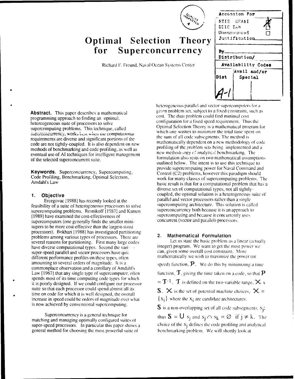

# **Optimal Selection Theory**  $for$  Superconcurrency

Richard F. Freund, Naval Ocean Systems Center

|             | Accession For               |  |
|-------------|-----------------------------|--|
|             | NTIS GEA <del>&amp;</del> I |  |
| DIIC TAB    |                             |  |
|             | Unannounced                 |  |
|             | Justification               |  |
|             |                             |  |
| By.         |                             |  |
|             | Distribution/               |  |
|             | Availability Codes          |  |
|             | Avail and/or                |  |
| <b>Dist</b> | Special                     |  |
|             |                             |  |
|             |                             |  |
|             |                             |  |

programming approach to finding an optimal, supercomputing problems. This technique, called Optimal Selection Theory is a mathematical program for  $\frac{1}{n}$  which one wishes to minimize the total time spent on superconcurrency, works best when the computational which one wishes to minimize the total time spe<br>mailromants are diverse and significant performe of the sum of all code subsegments. The method is code are not tightly-coupled. It is also dependent on new mathematically dependent on a new methodology of code<br>methods of henchmarking and code profiling as well as profiling of the problem sets being implemented and a methods of benchmarking and code profiling, as well as profiling of the problem sets being implemented and appropriate the problem sets being implemented and appropriate the problem sets being implemented and appropriate t eventual use of AI techniques for intelligent management

feasibility of a suite of heterogeneous processors to solve supercomputing architecture. This solution is called supercomputing problems. Respite of 119871 and Kamen supercomputing problems. Resnikoff [1987] and Kamen superconcurrency both because it is an approach to superconcurrency both because it is an approach to superconcurrency both because it concurrently uses [1989] have examined the cost-effectiveness of supercomputing and because it concurrentl<br>supercomputers (one generally finds the smaller mini-<br>concurrent (vector and parallel) processors. supercomputers (one generally finds the smaller minisupers to be more cost-effective than the largest-sized processors). Bokhari [1988] has investigated partitioning problems among various types of processors. There are 2. **Mathematical Formulation**<br>experts among various types of processors. There are 2. **Mathematical Formulation**<br>several reasons for partitioning. First many large code several reasons for partitioning. First many large codes have diverse computational types. Second the varies and integer) program. We want to get the most power we super-speed parallel and vector processors have quite and can, given some overall cost constraint. More different performance profiles on these types, often mathematically we wish to maximize the power (or amounting to several orders of magnitude. It is a speed) function,  $\mathbf{P}$ . We do this by minimizing a time commonplace observation and a corollary of Amdahl's Law  $[1967]$  that any single type of supercomputer, often function,  $\mathbf{T}$ , giving the time taken on a code, so that  $\mathbf{P}$ spends most of its time computing code types for which it is poorly designed. If we could configure our processor  $= \mathbf{T}^{-1}$ . **T** is defined on the two-variable range,  $\mathbf{X}$  x suite so that each processor could spend almost all its  $S. \times$  is the set of potential machine choices,  $\times =$ time on code for which it is well designed, the overall increase in speed could be orders of magnitude over what  $\{x_i\}$  where the  $x_i$  are candidate architectures.

matching and managing optimally configured suites of general method for choosing the most powerful suite of **benchmarking problem.** We will shortly look at

heterogeneous parallel and vector supercomputers for a **Abstract.** This paper describes a mathematical given problem set, subject to a fixed constraint, such as expressed to finding a expression of the dual problem could find minimal cost hetereogeneous suite of processors to solve configuration for a fixed speed requirement. Thus the energy configuration for a fixed speed requirement. Thus the superprocessors to solve configuration for a fixed speed requir requirements are diverse and significant portions of the the sum of all code subsegments. The method is<br>code are not tightly coupled. It is also dependent on name mathematically dependent on a new methodology of code of the selected superconcurrent suite. formulation also, rests on two mathematical assumptions of the selected superconcurrent suite. outlined below. The intent is to use this technique to **Keywords.** Superconcurrency, Supercomputing, **Keywords. Control (C2)** problems, however this paradigm should **Keywords.** Superconcurrency, Supercomputing, **Control (C2)** problems, however this paradigm should Code Profiling, Benchmarking, Optimal Selection, work for many classes of supercomputing problems. The Amdahl's Law basic result is that for a computational problem that has a diverse set of computational types, not all tightly-**1. Objective 1. Objective coupled, the optimal solution is a heterogeneous suite of** Ercegovac [1988] has recently looked at the parallel and vector processors rather than a single<br>ility of a suite of beterogeneous processors to solve supercomputing architecture. This solution is called

is now achieved by conventional supercomputing.  $S$  is a non-overlapping set of all code subsegments,  $s_i$ ;

Superconcurrency is a general technique for thus  $S = U s_j$  and  $s_j \cap s_k = \emptyset$  if  $j \neq k$ . The super-speed processors. In particular this paper shows a choice of the S<sub>i</sub> defines the code profiling and analytical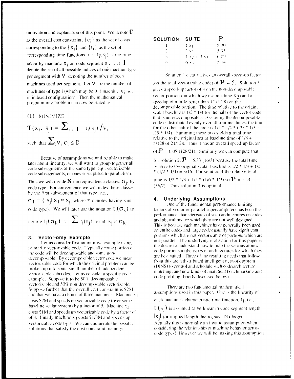motivation and explanation of this point. We denote  $\mathbf C$ as the overall cost constraint,  $\{c_i\}$  as the set of costs corresponding to the  $\{x_i\}$  and  $\{t_i\}$  as the set of corresponding time functions, i.e.,  $t_i(s_i)$  is the time taken by machine  $x_i$  on code segment  $s_j$ . Let  $\mathbf I$ <br>denote the set of all possible indices of one machine type per segment with  $V_i$  denoting the number of such machines used per segment. Let  $V_i$  be the number of machines of type  $i$  (which may be 0 if machine  $X_i$  not in indexed configuration). Then the mathematical programming problem can now be stated as:

# (1) MINIMIZE

$$
\mathbf{T}(\mathbf{x}_i, \mathbf{s}_j) = \sum_{i \in \mathbf{I}_{\le j}} t_i(\mathbf{s}_j) / \mathbf{v}_i
$$
  
such that 
$$
\sum_i v_i c_i \leq C
$$

Because of assumptions we will be able to make later about linearity, we will want to group together all code subsegments of the same type, e.g., vectorizable code subsegements, or ones susceptible to parallelism.

Thus we will divide **S** into equivalence classes,  $\sigma_j$ , by code type. For convenience we will index these classes by the first subsegment of that type, e.g.,

 $\sigma_1 = \{ S_i | S_1 \equiv S_i,$  where  $\equiv$  denotes having same code type). We will later use the notation  $t_i(\sigma_k)$  to

denote  $t_i(\sigma_k) = \sum t_i(s_i)$  for all  $s_i \in \sigma_k$ .

## Vector-only Example 3.

Let us consider first an intuitive example using primarily vectorizable code. Typically some portion of the code will be decomposable and some nondecomposable. By decomposable vector code we mean vectorizable code for which the original problem can be broken up into some small number of independent vectorizable subcodes. Let us consider a specific code example. Suppose it to be 50% decomposable vectorizable and 50% non-decomposable vectorizable. Suppose further that the overall cost constraint is \$2M and that we have a choice of three machines. Machine  $x_1$ costs \$2M and speeds up vectorizable code (over some baseline scalar system) by a factor of 5. Machine  $x_2$ costs \$1M and speeds up vectorizable code by a factor of of 4. Finally machine  $x_3$  costs  $$1/3M$  and speeds up vectorizable code by 3. We can enumerate the possible solutions that satisfy the cost constraint, namely:

| <b>SUITE</b>              | р     |
|---------------------------|-------|
| $1x_1$                    | 5(00) |
| $2 \lambda$               | 533   |
| $1 \times 1 + 3 \times 1$ | 6(0)  |
| 6. x x                    | 5.14  |
|                           |       |

Solution 1 clearly gives an overall speed-up factor

(on the total vectorizable code) of  $\mathbf{P} = 5$ . Solution 3 gives a speed-up factor of 4 on the non-decomposable vector portion (on which we use machine  $X_{2}$ ) and a speedup of a little better than  $12(12.8)$  on the decomposable portion. The time relative to the original scalar baseline is  $1/2$  \*  $1/4$  for the half of the vector code that is non-decomposable. Assuming the decomposable code is distributed evenly over all four machines, the time for the other half of the code is  $1/2$  \*  $1/4$  \*  $(.75$  \*  $1/3$  + .25  $*$  1/4). Summing these two yields a total time relative to the original scalar baseline time of  $1/8$  + 5/128 or 21/128. Thus it has an overall speed-up factor

of  $\mathbf{P} = 6.09$  (128/21). Similarly we can compute that

for solution 2,  $\mathbf{P} = 5.33$  (16/3) because the total time relative to the original scalar baseline is  $1/2$  \*  $1/4 + 1/2$ \*  $(1/2$  \*  $1/4) = 3/16$ . For solution 4 the relative total

time is  $1/2$  \*  $1/3$  +  $1/2$  \*  $(1/6$  \*  $1/3)$  so  $\mathbf{P} = 5.14$  $(36/7)$ . Thus solution 3 is optimal.

### 4. **Underlying Assumptions**

One of the fundamental performance limiting factors of vector or parallel supercomputers has been the performance characteristics of such architectures on codes and algorithms for which they are not well designed. This is because such machines have generally been used on entire codes and large codes usually have significant portions which are not vectorizable or portions which are not parallel. The underlying motivation for this paper is the desire to understand how to map the various atomic code portions to the types of architectures for which they are best suited. Three of the resulting needs that follow from this are a distributed intelligent network system (DINS) to control and schedule such code/architecture matching, and new kinds of analytical benchmarking and code profiling (briefly discussed below).

There are two fundamental mathematical assumptions used in this paper. One is the linearity of

each machine's characteristic time function,  $t_i$ , i.e.,

 $t_j(s_j)$  is assumed to be linear in code segment length

 $|S_i|$  (or implied length due to, say, DO loops). Actually this is normally an invalid assumption when

considering the relationship of machine behavior across code types! However we will be making this assumption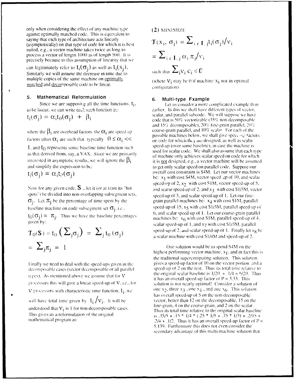only when considering the effect of any machine type against optimally matched code. This is equivalent to saying that each type of architecture acts linearly (asymptotically) on that type of code for which it is best suited, e.g., a vector machine takes twice as long to process a vector of length 1000 as of length 500. It is precisely because to this assumption of linearity that we

can legitimately refer to  $t_i(\sigma_j)$  as well as  $t_i(s_j)$ . Similarly we will assume the decrease in time due to multiple copies of the same machine on optimally matched and decomposable code to be linear.

### Mathematical Reformulation 5.

Since we are supposing all the time functions,  $t_i$ , to be linear, we can write each such function as:

$$
t_i(\sigma_j) = \alpha_i t_0(\sigma_j) + \beta_i
$$

where the  $\beta_i$  are overhead factors the  $\alpha_i$  are speed up factors (thus  $\alpha_i$  are such that typically  $0 \leq \alpha_i \ll$ 

1, and  $t_0$  represents some baseline time function such as that derived from, say, a VAX. Since we are primarily interested in asymptotic results, we will ignore the  $\beta_i$ and simplify the expression to be:

$$
t_i(\sigma_j) = \alpha_i t_{\theta}(\sigma_j)
$$

Now for any given code,  $S$ , let it (or at teast its "hot spots") be divided into non-overlapping subsegment sets,  $\sigma_i$ . Let  $\pi_i$  be the percentage of time spent by the baseline machine on code subsegment set  $\sigma_i$ , i.e.,  $t_{\text{(i)}}(\sigma_i) = \pi_i$ . Thus we have the baseline percentages given by:

$$
\mathbf{T}_0(\mathbf{S}) = \mathbf{t}_0 \left( \sum_j \sigma_j \right) = \sum_j \mathbf{t}_0 \left( \sigma_j \right)
$$

$$
= \sum_j \pi_j = 1
$$

Finally we need to deal with the speed-ups given in the decomposable cases (vector decomposable or all parallel types). As mentioned above we assume that for  $V$ processors this will give a linear speed-up of  $V$ , i.e., for V processors with characteristic time function,  $t_i$ , we will have total time given by  $t_i / v_i$ . It will be understood that  $V_i$  is 1 for non-decomposable cases. This gives us a reformulation of the original

mathematical program as:

$$
\begin{aligned} \text{(2) MINIMIZE} \\ \mathbf{J}(\mathbf{x}_i, \sigma_j) &= \sum_{i \in \mathbf{I}, j} t_i(\sigma_j) / v_i \\ &= \sum_{i \in \mathbf{I}, j} \alpha_i \pi_j / v_i \\ \text{such that } \sum_{i} v_i \mathbf{c}_i \leq \mathbf{C} \end{aligned}
$$

(where  $V_1$  may be 0 if machine  $X_1$  not in optimal configuration)

### Multi-type Example 6.

Let us consider a more complicated example than earlier. In this we shall have different types of vector, scalar, and parallel subcode. We will suppose we have code that is 50% vectorizable (35% non-decomposable) and 15% decomposable), 20% fine-grain parallel, 20% coarse-grain parallel, and 10% scalar. For each of the possible machines below, we shall give speed the factors on code for which they are designed, as well as scalar speed-up (over some baseline), in case the machine is used for scalar code. We shall also assume that each type of machine only achieves scalar speed on code for which it is not designed, e.g., a vector machine will be assumed to get only scalar speed on parallel code. Suppose our overall cost constraint is \$4M. Let our vector machines be:  $x_1$  with cost \$4M, vector speed up of 10, and scalar speed-up of 2,  $x_2$  with cost S1M, vector speed-up of 5. and scalar speed-up of 2, and  $x_3$  with cost S1/3M, vector speed-up of 3, and scalar speed-up of 1. Let our finegrain parallel machines be:  $x_4$  with cost S1M, parallel speed-up of 15, x5 with cost \$1/3M, parallel speed-up of 6, and scalar speed-up of 1. Let our coarse-grain parallel machines be:  $x_6$  with cost S1M, parallel speed-up of 4, scalar speed-up of 1, and  $x_7$  with cost \$1/3M, parallel speed-up of 2, and scalar speed-up of 1. Finally let xg be a scalar machine with cost \$1/4M and speed-up of 2.

One solution would be to spend \$4M on the highest performing vector machine,  $x_1$ , and in fact this is the traditonal supercomputing solution. This solution gives a speed-up factor of 10 on the vector portion and a speed-up of 2 on the rest. Thus its total time relative to the original scalar baseline is  $1/20 + 1/4 = 6/20$ . Thus it has an overall speed-up factor of  $P = 3.33$ . This solution is not nearly optimal! Consider a solution of one x<sub>2</sub>, three x<sub>3</sub>, one x<sub>4</sub>, and one x<sub>6</sub>. This solution has overall speed-up of 5 on the non-decomposable vector, better than 12 on the decomposable, 15 on the fine-grain, 4 on the coarse-grain, and 2 on the scalar. Thus its total time relative to the original scalar baseline is  $.35/5 + .15 * 1/4 * (.25 * 1/5 + .75 * 1/3) + .2/15 +$ .2/4 + .1/2. Thus it has an overall speed-up factor of  $P =$ 5.139. Furthermore this does not even consider the secondary advantage of this multi-machine solution that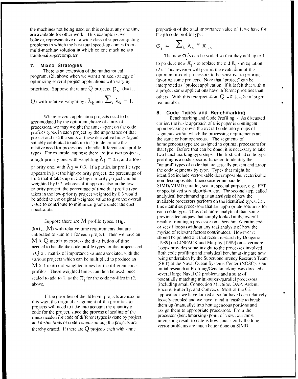are available for other work. This example is, we the jth code profile type: believe, representative of a wide class of supercomputing problems in which the best total speed-up comes from a multi-machine solution in which no one machine is a

program, (2), above when we want a mixed strategy of optimum mix of processors to be sensitive to prior project<br>
optimizing several project applications with varying on the favoring some projects. Note that "project" can b optimizing several project applications with varying priorities. Suppose there are  $Q$  projects,  $p_k$ ,  $(k=1, \ldots$  a project some applications have different priorities than **Q**) with relative weightings  $\lambda_k$  and  $\sum_k \lambda_k = 1$ . The eal number.

Where several application projects need to be Benchmarking and Code Profiling - As discussed accomodated by the optimum choice of a mix of earlier, the basic approach of this paper is contingent processors, we may weight the times spent **on** the code upon breaking down the overall code into groups of profiles types in each project by the importance of that segments within which the processing requirements are project and use the sums of these derivative times (again the same or homogeneous. The segments of suitably calibrated to add up to 1) to determine the homogeneous type are assigned to optimal processors for relative need for processors to handle different code profile that type. Before that can be done, it is necessary to take types. For example, suppose there are just two projects, two benchmarking type steps. The first, called code-type a high-priority one with weighting  $\lambda_1 = 0.7$ , and a low- profiling is a code specific function to identify the priority one, with  $\lambda_2 = 0.3$ . If a particular profile type  $\lambda_2 = 0.3$  is the code segments by type. Types that might be appears in just the high-priority project. The percentage of  $\frac{1}{2}$  is the high-priority project, the percentage of the code segments by type. Types that might be appears in just the high-priority project, the percentage of dentified include vectorizable decomposable, vectorizab time that it takes up in the high-priority project can be non-decomposable, fine/coarse-grain parallel, weighted by 0.7, whereas if it appears also in the low-<br>SIMD/MIMD parallei, scalar, special purpose, e.g., FFT priority project, the percentage of time that profile type or specialized sort algorithm, etc. The second step, called takes in the low-priority project weighted by 0.3 would analytical benchmarking is an analysis of how the be added to the original weighted value to give the overall available processors perform on the identified types, ...., value to contribute to minimizing time under the cost this identifies processors that are appropriate solutions for

 $(k=1,...,M)$  with relative time requirements that are or set of loops (without any real analysis of now the equipments of the sum to  $\frac{1}{2}$  for each project. Then we have an calibrated to sum to 1 for each project. Then we have an should be pointed out that recent research by Dongarra **M** x Q matrix to express the distribution of time [1989] on LINPACK and Murphy [1989] on Livermore needed to handle the code profile types for the projects and Loops provides some insight to the processes involved. a Q x 1 matrix of importance values associated with the Both code profiling and analytical benchmarking are now various projects which can be multiplied to produce an being undertaken by the Superconcurrency Research Team **M x** 1 matrix of weighted times for the different code (SRT) at the Naval Ocean Systems Center (NOSC). Oui Final research at Profiling/Benchmarking was directed at profiles. These weighted times can then be used, once several large Naval C2 problems and a suite of scaled to add to 1, as the  $\pi$ <sup>i</sup> for the code profiles in (2) potentially matching mini-supers/parallel processors

this way, the original assignment of the priorities to have hosely-coupled and we have found it feasible to break projects will need to take into account the quantity of them up (manually) into homogeneous portions and projects will need to take into account the quantity of  $\frac{1}{\sqrt{2}}$  assign them to appropriate processors. From the code for the project, since the process of scaling of the assign them to appropriate processors. From the<br>https://www.profect.code.of different types is done by project. Processor (benchmarking) point of view, our most innes needed for code of different types is done by project, processor (benchmarking) point of view, our most<br>and distinctions of code volume among the projects are interesting result to date is how consistently the long and distinctions of code volume among the projects are thereby erased. If there are Q projects each with some vector problems are much better done on SIMD

the machines not being used on this code at any one time proportion of the total importance value of **1,** we have for

$$
\sigma_{\rm j} = \sum_{\rm k} \lambda_{\rm k} * \pi_{\rm j,k}
$$

traditional supercomputer. The new  $\sigma_j$ 's can be scaled so that they add up to 1 **7. Mixed Strategies to produce new**  $\pi_j$ **'s to replace the old**  $\pi_j$ **'s in equation** There is an extension of the mathematical  $(2)$ . This revision will permit the evaluation of the new system will permit the valuation of the new system of the continuum mix of processors to be sensitive to priorities interpreted as "project application" if it is felt that within others. With this interpretation,  $Q$  will just be a larger

## **8. Code Types and Benchmarking**

coistraints. each code type. Thus it is more analytical than some previous techniques that simply looked at the overall Suppose there are M profile types,  $m_k$ , <br>
M<sub>b</sub> with relative time requirements that are<br>
or set of loops (without any real analysis of how the above. **above. above. above. above. above. above. above. above. above. above. above. above. Encore, Butterfly, and Convex).** Most of the C2 If the priorities of the different projects are used in applications we have looked at so far have been relatively